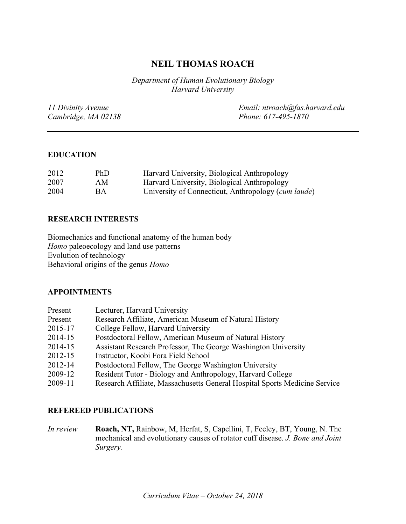# **NEIL THOMAS ROACH**

*Department of Human Evolutionary Biology Harvard University*

| 11 Divinity Avenue  | Email: ntroach@fas.harvard.edu |
|---------------------|--------------------------------|
| Cambridge, MA 02138 | Phone: 617-495-1870            |

#### **EDUCATION**

| 2012 | PhD       | Harvard University, Biological Anthropology         |
|------|-----------|-----------------------------------------------------|
| 2007 | AM        | Harvard University, Biological Anthropology         |
| 2004 | <b>BA</b> | University of Connecticut, Anthropology (cum laude) |

### **RESEARCH INTERESTS**

Biomechanics and functional anatomy of the human body *Homo* paleoecology and land use patterns Evolution of technology Behavioral origins of the genus *Homo*

#### **APPOINTMENTS**

| Present | Lecturer, Harvard University                                               |
|---------|----------------------------------------------------------------------------|
| Present | Research Affiliate, American Museum of Natural History                     |
| 2015-17 | College Fellow, Harvard University                                         |
| 2014-15 | Postdoctoral Fellow, American Museum of Natural History                    |
| 2014-15 | Assistant Research Professor, The George Washington University             |
| 2012-15 | Instructor, Koobi Fora Field School                                        |
| 2012-14 | Postdoctoral Fellow, The George Washington University                      |
| 2009-12 | Resident Tutor - Biology and Anthropology, Harvard College                 |
| 2009-11 | Research Affiliate, Massachusetts General Hospital Sports Medicine Service |

### **REFEREED PUBLICATIONS**

*In review* **Roach, NT,** Rainbow, M, Herfat, S, Capellini, T, Feeley, BT, Young, N. The mechanical and evolutionary causes of rotator cuff disease. *J. Bone and Joint Surgery.*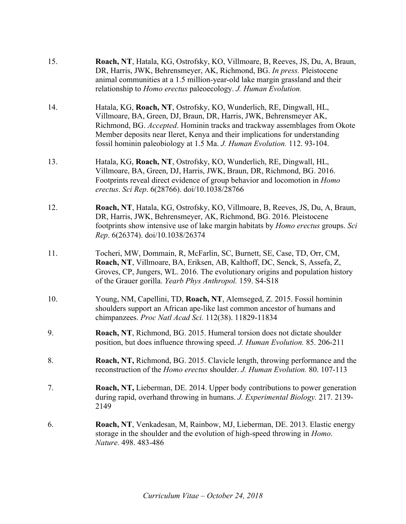| 15. | Roach, NT, Hatala, KG, Ostrofsky, KO, Villmoare, B, Reeves, JS, Du, A, Braun,<br>DR, Harris, JWK, Behrensmeyer, AK, Richmond, BG. In press. Pleistocene<br>animal communities at a 1.5 million-year-old lake margin grassland and their<br>relationship to Homo erectus paleoecology. J. Human Evolution.                                                                         |
|-----|-----------------------------------------------------------------------------------------------------------------------------------------------------------------------------------------------------------------------------------------------------------------------------------------------------------------------------------------------------------------------------------|
| 14. | Hatala, KG, Roach, NT, Ostrofsky, KO, Wunderlich, RE, Dingwall, HL,<br>Villmoare, BA, Green, DJ, Braun, DR, Harris, JWK, Behrensmeyer AK,<br>Richmond, BG. Accepted. Hominin tracks and trackway assemblages from Okote<br>Member deposits near Ileret, Kenya and their implications for understanding<br>fossil hominin paleobiology at 1.5 Ma. J. Human Evolution. 112. 93-104. |
| 13. | Hatala, KG, Roach, NT, Ostrofsky, KO, Wunderlich, RE, Dingwall, HL,<br>Villmoare, BA, Green, DJ, Harris, JWK, Braun, DR, Richmond, BG. 2016.<br>Footprints reveal direct evidence of group behavior and locomotion in Homo<br>erectus. Sci Rep. 6(28766). doi/10.1038/28766                                                                                                       |
| 12. | Roach, NT, Hatala, KG, Ostrofsky, KO, Villmoare, B, Reeves, JS, Du, A, Braun,<br>DR, Harris, JWK, Behrensmeyer, AK, Richmond, BG. 2016. Pleistocene<br>footprints show intensive use of lake margin habitats by <i>Homo erectus</i> groups. Sci<br>Rep. 6(26374). doi/10.1038/26374                                                                                               |
| 11. | Tocheri, MW, Dommain, R, McFarlin, SC, Burnett, SE, Case, TD, Orr, CM,<br>Roach, NT, Villmoare, BA, Eriksen, AB, Kalthoff, DC, Senck, S, Assefa, Z,<br>Groves, CP, Jungers, WL. 2016. The evolutionary origins and population history<br>of the Grauer gorilla. Yearb Phys Anthropol. 159. S4-S18                                                                                 |
| 10. | Young, NM, Capellini, TD, Roach, NT, Alemseged, Z. 2015. Fossil hominin<br>shoulders support an African ape-like last common ancestor of humans and<br>chimpanzees. Proc Natl Acad Sci. 112(38). 11829-11834                                                                                                                                                                      |
| 9.  | Roach, NT, Richmond, BG. 2015. Humeral torsion does not dictate shoulder<br>position, but does influence throwing speed. J. Human Evolution. 85. 206-211                                                                                                                                                                                                                          |
| 8.  | Roach, NT, Richmond, BG. 2015. Clavicle length, throwing performance and the<br>reconstruction of the <i>Homo erectus</i> shoulder. <i>J. Human Evolution</i> . 80. 107-113                                                                                                                                                                                                       |
| 7.  | Roach, NT, Lieberman, DE. 2014. Upper body contributions to power generation<br>during rapid, overhand throwing in humans. J. Experimental Biology. 217. 2139-<br>2149                                                                                                                                                                                                            |
| 6.  | Roach, NT, Venkadesan, M, Rainbow, MJ, Lieberman, DE. 2013. Elastic energy<br>storage in the shoulder and the evolution of high-speed throwing in <i>Homo</i> .<br>Nature. 498. 483-486                                                                                                                                                                                           |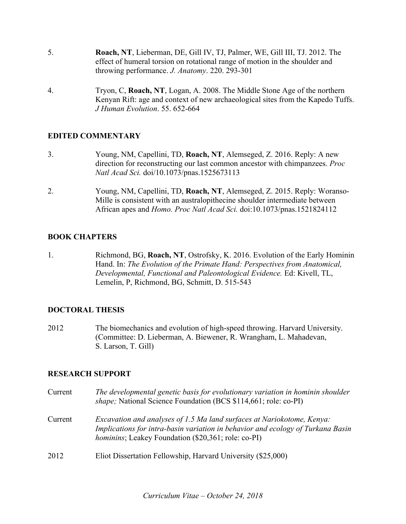- 5. **Roach, NT**, Lieberman, DE, Gill IV, TJ, Palmer, WE, Gill III, TJ. 2012. The effect of humeral torsion on rotational range of motion in the shoulder and throwing performance. *J. Anatomy*. 220. 293-301
- 4. Tryon, C, **Roach, NT**, Logan, A. 2008. The Middle Stone Age of the northern Kenyan Rift: age and context of new archaeological sites from the Kapedo Tuffs. *J Human Evolution*. 55. 652-664

### **EDITED COMMENTARY**

- 3. Young, NM, Capellini, TD, **Roach, NT**, Alemseged, Z. 2016. Reply: A new direction for reconstructing our last common ancestor with chimpanzees. *Proc Natl Acad Sci.* doi/10.1073/pnas.1525673113
- 2. Young, NM, Capellini, TD, **Roach, NT**, Alemseged, Z. 2015. Reply: Woranso-Mille is consistent with an australopithecine shoulder intermediate between African apes and *Homo. Proc Natl Acad Sci.* doi:10.1073/pnas.1521824112

### **BOOK CHAPTERS**

1. Richmond, BG, **Roach, NT**, Ostrofsky, K. 2016. Evolution of the Early Hominin Hand. In: *The Evolution of the Primate Hand: Perspectives from Anatomical, Developmental, Functional and Paleontological Evidence.* Ed: Kivell, TL, Lemelin, P, Richmond, BG, Schmitt, D. 515-543

## **DOCTORAL THESIS**

2012 The biomechanics and evolution of high-speed throwing. Harvard University. (Committee: D. Lieberman, A. Biewener, R. Wrangham, L. Mahadevan, S. Larson, T. Gill)

### **RESEARCH SUPPORT**

| Current | The developmental genetic basis for evolutionary variation in hominin shoulder<br>shape; National Science Foundation (BCS \$114,661; role: co-PI)                                                                        |
|---------|--------------------------------------------------------------------------------------------------------------------------------------------------------------------------------------------------------------------------|
| Current | Excavation and analyses of 1.5 Ma land surfaces at Nariokotome, Kenya:<br>Implications for intra-basin variation in behavior and ecology of Turkana Basin<br><i>hominins</i> ; Leakey Foundation (\$20,361; role: co-PI) |
| 2012    | Eliot Dissertation Fellowship, Harvard University (\$25,000)                                                                                                                                                             |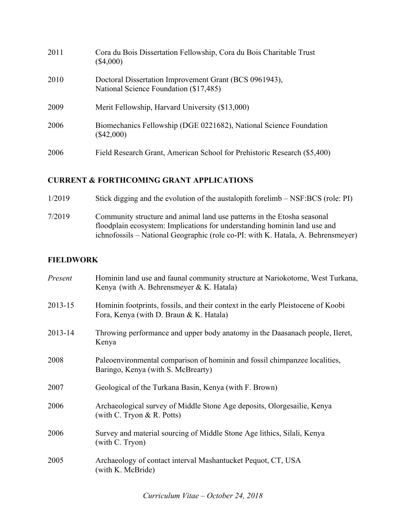| 2011 | Cora du Bois Dissertation Fellowship, Cora du Bois Charitable Trust<br>$(\$4,000)$               |
|------|--------------------------------------------------------------------------------------------------|
| 2010 | Doctoral Dissertation Improvement Grant (BCS 0961943),<br>National Science Foundation (\$17,485) |
| 2009 | Merit Fellowship, Harvard University (\$13,000)                                                  |
| 2006 | Biomechanics Fellowship (DGE 0221682), National Science Foundation<br>$(\$42,000)$               |
| 2006 | Field Research Grant, American School for Prehistoric Research (\$5,400)                         |

# **CURRENT & FORTHCOMING GRANT APPLICATIONS**

| 1/2019 | Stick digging and the evolution of the austalopith forelimb – NSF:BCS (role: PI)                                                                                                                                                         |
|--------|------------------------------------------------------------------------------------------------------------------------------------------------------------------------------------------------------------------------------------------|
| 7/2019 | Community structure and animal land use patterns in the Etosha seasonal<br>floodplain ecosystem: Implications for understanding hominin land use and<br>ichnofossils – National Geographic (role co-PI: with K. Hatala, A. Behrensmeyer) |

# **FIELDWORK**

| Present | Hominin land use and faunal community structure at Nariokotome, West Turkana,<br>Kenya (with A. Behrensmeyer & K. Hatala)   |
|---------|-----------------------------------------------------------------------------------------------------------------------------|
| 2013-15 | Hominin footprints, fossils, and their context in the early Pleistocene of Koobi<br>Fora, Kenya (with D. Braun & K. Hatala) |
| 2013-14 | Throwing performance and upper body anatomy in the Daasanach people, Ileret,<br>Kenya                                       |
| 2008    | Paleoenvironmental comparison of hominin and fossil chimpanzee localities,<br>Baringo, Kenya (with S. McBrearty)            |
| 2007    | Geological of the Turkana Basin, Kenya (with F. Brown)                                                                      |
| 2006    | Archaeological survey of Middle Stone Age deposits, Olorgesailie, Kenya<br>(with C. Tryon $\&$ R. Potts)                    |
| 2006    | Survey and material sourcing of Middle Stone Age lithics, Silali, Kenya<br>(with C. Tryon)                                  |
| 2005    | Archaeology of contact interval Mashantucket Pequot, CT, USA<br>(with K. McBride)                                           |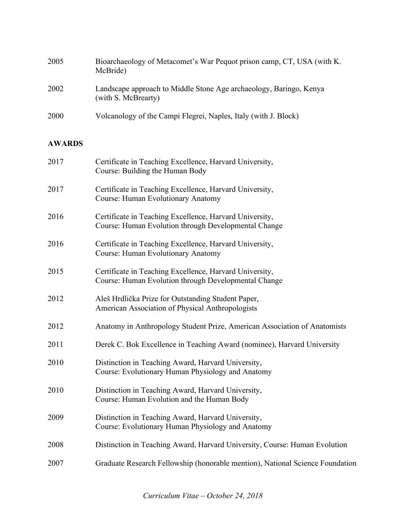| 2005          | Bioarchaeology of Metacomet's War Pequot prison camp, CT, USA (with K.<br>McBride)                              |
|---------------|-----------------------------------------------------------------------------------------------------------------|
| 2002          | Landscape approach to Middle Stone Age archaeology, Baringo, Kenya<br>(with S. McBrearty)                       |
| 2000          | Volcanology of the Campi Flegrei, Naples, Italy (with J. Block)                                                 |
| <b>AWARDS</b> |                                                                                                                 |
| 2017          | Certificate in Teaching Excellence, Harvard University,<br>Course: Building the Human Body                      |
| 2017          | Certificate in Teaching Excellence, Harvard University,<br><b>Course: Human Evolutionary Anatomy</b>            |
| 2016          | Certificate in Teaching Excellence, Harvard University,<br>Course: Human Evolution through Developmental Change |
| 2016          | Certificate in Teaching Excellence, Harvard University,<br>Course: Human Evolutionary Anatomy                   |
| 2015          | Certificate in Teaching Excellence, Harvard University,<br>Course: Human Evolution through Developmental Change |
| 2012          | Aleš Hrdlička Prize for Outstanding Student Paper,<br>American Association of Physical Anthropologists          |
| 2012          | Anatomy in Anthropology Student Prize, American Association of Anatomists                                       |
| 2011          | Derek C. Bok Excellence in Teaching Award (nominee), Harvard University                                         |
| 2010          | Distinction in Teaching Award, Harvard University,<br>Course: Evolutionary Human Physiology and Anatomy         |
| 2010          | Distinction in Teaching Award, Harvard University,<br>Course: Human Evolution and the Human Body                |
| 2009          | Distinction in Teaching Award, Harvard University,<br>Course: Evolutionary Human Physiology and Anatomy         |
| 2008          | Distinction in Teaching Award, Harvard University, Course: Human Evolution                                      |
| 2007          | Graduate Research Fellowship (honorable mention), National Science Foundation                                   |
|               |                                                                                                                 |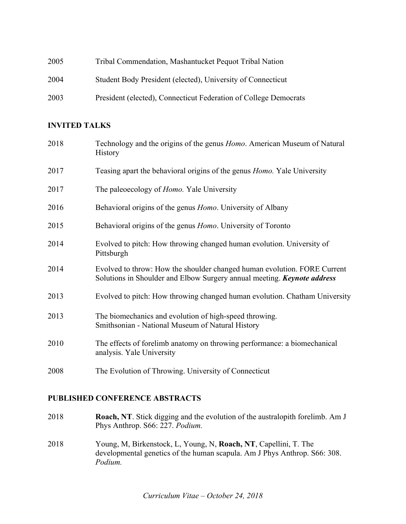| 2005 | Tribal Commendation, Mashantucket Pequot Tribal Nation           |
|------|------------------------------------------------------------------|
| 2004 | Student Body President (elected), University of Connecticut      |
| 2003 | President (elected), Connecticut Federation of College Democrats |

## **INVITED TALKS**

| 2018 | Technology and the origins of the genus <i>Homo</i> . American Museum of Natural<br><b>History</b>                                                         |
|------|------------------------------------------------------------------------------------------------------------------------------------------------------------|
| 2017 | Teasing apart the behavioral origins of the genus <i>Homo</i> . Yale University                                                                            |
| 2017 | The paleoecology of <i>Homo</i> . Yale University                                                                                                          |
| 2016 | Behavioral origins of the genus <i>Homo</i> . University of Albany                                                                                         |
| 2015 | Behavioral origins of the genus <i>Homo</i> . University of Toronto                                                                                        |
| 2014 | Evolved to pitch: How throwing changed human evolution. University of<br>Pittsburgh                                                                        |
| 2014 | Evolved to throw: How the shoulder changed human evolution. FORE Current<br>Solutions in Shoulder and Elbow Surgery annual meeting. <b>Keynote address</b> |
| 2013 | Evolved to pitch: How throwing changed human evolution. Chatham University                                                                                 |
| 2013 | The biomechanics and evolution of high-speed throwing.<br>Smithsonian - National Museum of Natural History                                                 |
| 2010 | The effects of forelimb anatomy on throwing performance: a biomechanical<br>analysis. Yale University                                                      |
| 2008 | The Evolution of Throwing. University of Connecticut                                                                                                       |

# **PUBLISHED CONFERENCE ABSTRACTS**

- 2018 **Roach, NT**. Stick digging and the evolution of the australopith forelimb. Am J Phys Anthrop. S66: 227. *Podium.*
- 2018 Young, M, Birkenstock, L, Young, N, **Roach, NT**, Capellini, T. The developmental genetics of the human scapula. Am J Phys Anthrop. S66: 308. *Podium.*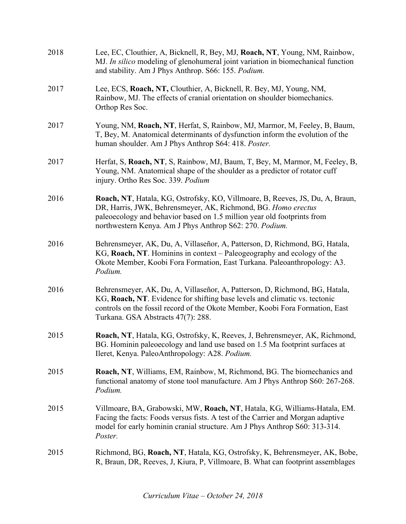| 2018 | Lee, EC, Clouthier, A, Bicknell, R, Bey, MJ, Roach, NT, Young, NM, Rainbow,<br>MJ. In silico modeling of glenohumeral joint variation in biomechanical function<br>and stability. Am J Phys Anthrop. S66: 155. Podium.                                                               |
|------|--------------------------------------------------------------------------------------------------------------------------------------------------------------------------------------------------------------------------------------------------------------------------------------|
| 2017 | Lee, ECS, Roach, NT, Clouthier, A, Bicknell, R. Bey, MJ, Young, NM,<br>Rainbow, MJ. The effects of cranial orientation on shoulder biomechanics.<br>Orthop Res Soc.                                                                                                                  |
| 2017 | Young, NM, Roach, NT, Herfat, S, Rainbow, MJ, Marmor, M, Feeley, B, Baum,<br>T, Bey, M. Anatomical determinants of dysfunction inform the evolution of the<br>human shoulder. Am J Phys Anthrop S64: 418. Poster.                                                                    |
| 2017 | Herfat, S, Roach, NT, S, Rainbow, MJ, Baum, T, Bey, M, Marmor, M, Feeley, B,<br>Young, NM. Anatomical shape of the shoulder as a predictor of rotator cuff<br>injury. Ortho Res Soc. 339. Podium                                                                                     |
| 2016 | Roach, NT, Hatala, KG, Ostrofsky, KO, Villmoare, B, Reeves, JS, Du, A, Braun,<br>DR, Harris, JWK, Behrensmeyer, AK, Richmond, BG. Homo erectus<br>paleoecology and behavior based on 1.5 million year old footprints from<br>northwestern Kenya. Am J Phys Anthrop S62: 270. Podium. |
| 2016 | Behrensmeyer, AK, Du, A, Villaseñor, A, Patterson, D, Richmond, BG, Hatala,<br>KG, Roach, NT. Hominins in context – Paleogeography and ecology of the<br>Okote Member, Koobi Fora Formation, East Turkana. Paleoanthropology: A3.<br>Podium.                                         |
| 2016 | Behrensmeyer, AK, Du, A, Villaseñor, A, Patterson, D, Richmond, BG, Hatala,<br>KG, Roach, NT. Evidence for shifting base levels and climatic vs. tectonic<br>controls on the fossil record of the Okote Member, Koobi Fora Formation, East<br>Turkana. GSA Abstracts 47(7): 288.     |
| 2015 | Roach, NT, Hatala, KG, Ostrofsky, K, Reeves, J, Behrensmeyer, AK, Richmond,<br>BG. Hominin paleoecology and land use based on 1.5 Ma footprint surfaces at<br>Ileret, Kenya. PaleoAnthropology: A28. Podium.                                                                         |
| 2015 | Roach, NT, Williams, EM, Rainbow, M, Richmond, BG. The biomechanics and<br>functional anatomy of stone tool manufacture. Am J Phys Anthrop S60: 267-268.<br>Podium.                                                                                                                  |
| 2015 | Villmoare, BA, Grabowski, MW, Roach, NT, Hatala, KG, Williams-Hatala, EM.<br>Facing the facts: Foods versus fists. A test of the Carrier and Morgan adaptive<br>model for early hominin cranial structure. Am J Phys Anthrop S60: 313-314.<br>Poster.                                |
| 2015 | Richmond, BG, Roach, NT, Hatala, KG, Ostrofsky, K, Behrensmeyer, AK, Bobe,<br>R, Braun, DR, Reeves, J, Kiura, P, Villmoare, B. What can footprint assemblages                                                                                                                        |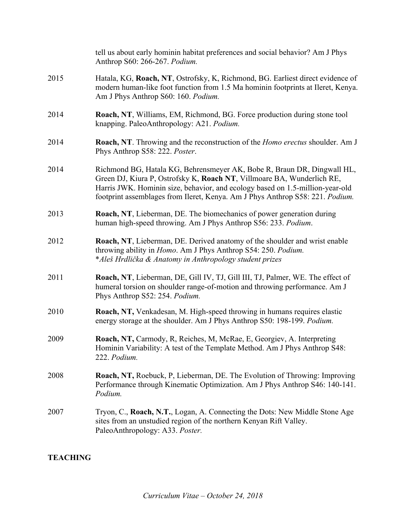|      | tell us about early hominin habitat preferences and social behavior? Am J Phys<br>Anthrop S60: 266-267. Podium.                                                                                                                                                                                                     |
|------|---------------------------------------------------------------------------------------------------------------------------------------------------------------------------------------------------------------------------------------------------------------------------------------------------------------------|
| 2015 | Hatala, KG, Roach, NT, Ostrofsky, K, Richmond, BG. Earliest direct evidence of<br>modern human-like foot function from 1.5 Ma hominin footprints at Ileret, Kenya.<br>Am J Phys Anthrop S60: 160. Podium.                                                                                                           |
| 2014 | Roach, NT, Williams, EM, Richmond, BG. Force production during stone tool<br>knapping. PaleoAnthropology: A21. Podium.                                                                                                                                                                                              |
| 2014 | Roach, NT. Throwing and the reconstruction of the Homo erectus shoulder. Am J<br>Phys Anthrop S58: 222. Poster.                                                                                                                                                                                                     |
| 2014 | Richmond BG, Hatala KG, Behrensmeyer AK, Bobe R, Braun DR, Dingwall HL,<br>Green DJ, Kiura P, Ostrofsky K, Roach NT, Villmoare BA, Wunderlich RE,<br>Harris JWK. Hominin size, behavior, and ecology based on 1.5-million-year-old<br>footprint assemblages from Ileret, Kenya. Am J Phys Anthrop S58: 221. Podium. |
| 2013 | Roach, NT, Lieberman, DE. The biomechanics of power generation during<br>human high-speed throwing. Am J Phys Anthrop S56: 233. Podium.                                                                                                                                                                             |
| 2012 | Roach, NT, Lieberman, DE. Derived anatomy of the shoulder and wrist enable<br>throwing ability in <i>Homo</i> . Am J Phys Anthrop S54: 250. Podium.<br>*Aleš Hrdlička & Anatomy in Anthropology student prizes                                                                                                      |
| 2011 | Roach, NT, Lieberman, DE, Gill IV, TJ, Gill III, TJ, Palmer, WE. The effect of<br>humeral torsion on shoulder range-of-motion and throwing performance. Am J<br>Phys Anthrop S52: 254. Podium.                                                                                                                      |
| 2010 | Roach, NT, Venkadesan, M. High-speed throwing in humans requires elastic<br>energy storage at the shoulder. Am J Phys Anthrop S50: 198-199. Podium.                                                                                                                                                                 |
| 2009 | Roach, NT, Carmody, R, Reiches, M, McRae, E, Georgiev, A. Interpreting<br>Hominin Variability: A test of the Template Method. Am J Phys Anthrop S48:<br>222. Podium.                                                                                                                                                |
| 2008 | <b>Roach, NT, Roebuck, P. Lieberman, DE. The Evolution of Throwing: Improving</b><br>Performance through Kinematic Optimization. Am J Phys Anthrop S46: 140-141.<br>Podium.                                                                                                                                         |
| 2007 | Tryon, C., Roach, N.T., Logan, A. Connecting the Dots: New Middle Stone Age<br>sites from an unstudied region of the northern Kenyan Rift Valley.<br>PaleoAnthropology: A33. Poster.                                                                                                                                |

# **TEACHING**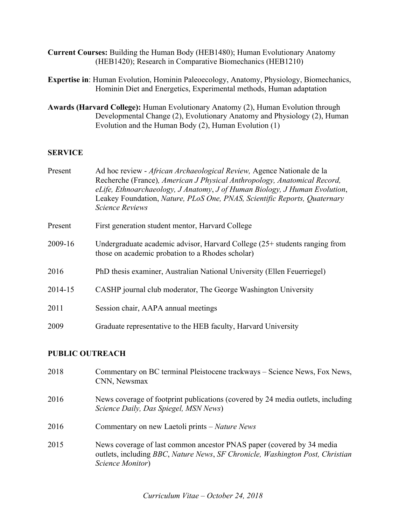- **Current Courses:** Building the Human Body (HEB1480); Human Evolutionary Anatomy (HEB1420); Research in Comparative Biomechanics (HEB1210)
- **Expertise in**: Human Evolution, Hominin Paleoecology, Anatomy, Physiology, Biomechanics, Hominin Diet and Energetics, Experimental methods, Human adaptation
- **Awards (Harvard College):** Human Evolutionary Anatomy (2), Human Evolution through Developmental Change (2), Evolutionary Anatomy and Physiology (2), Human Evolution and the Human Body (2), Human Evolution (1)

### **SERVICE**

| Present | Ad hoc review - <i>African Archaeological Review</i> , Agence Nationale de la<br>Recherche (France), American J Physical Anthropology, Anatomical Record,<br>eLife, Ethnoarchaeology, J Anatomy, J of Human Biology, J Human Evolution,<br>Leakey Foundation, Nature, PLoS One, PNAS, Scientific Reports, Quaternary<br><b>Science Reviews</b> |
|---------|------------------------------------------------------------------------------------------------------------------------------------------------------------------------------------------------------------------------------------------------------------------------------------------------------------------------------------------------|
| Present | First generation student mentor, Harvard College                                                                                                                                                                                                                                                                                               |
| 2009-16 | Undergraduate academic advisor, Harvard College (25+ students ranging from<br>those on academic probation to a Rhodes scholar)                                                                                                                                                                                                                 |
| 2016    | PhD thesis examiner, Australian National University (Ellen Feuerriegel)                                                                                                                                                                                                                                                                        |
| 2014-15 | CASHP journal club moderator, The George Washington University                                                                                                                                                                                                                                                                                 |
| 2011    | Session chair, AAPA annual meetings                                                                                                                                                                                                                                                                                                            |
| 2009    | Graduate representative to the HEB faculty, Harvard University                                                                                                                                                                                                                                                                                 |

### **PUBLIC OUTREACH**

| 2018 | Commentary on BC terminal Pleistocene trackways – Science News, Fox News,<br>CNN, Newsmax                                                                                  |
|------|----------------------------------------------------------------------------------------------------------------------------------------------------------------------------|
| 2016 | News coverage of footprint publications (covered by 24 media outlets, including<br>Science Daily, Das Spiegel, MSN News)                                                   |
| 2016 | Commentary on new Laetoli prints – Nature News                                                                                                                             |
| 2015 | News coverage of last common ancestor PNAS paper (covered by 34 media<br>outlets, including BBC, Nature News, SF Chronicle, Washington Post, Christian<br>Science Monitor) |